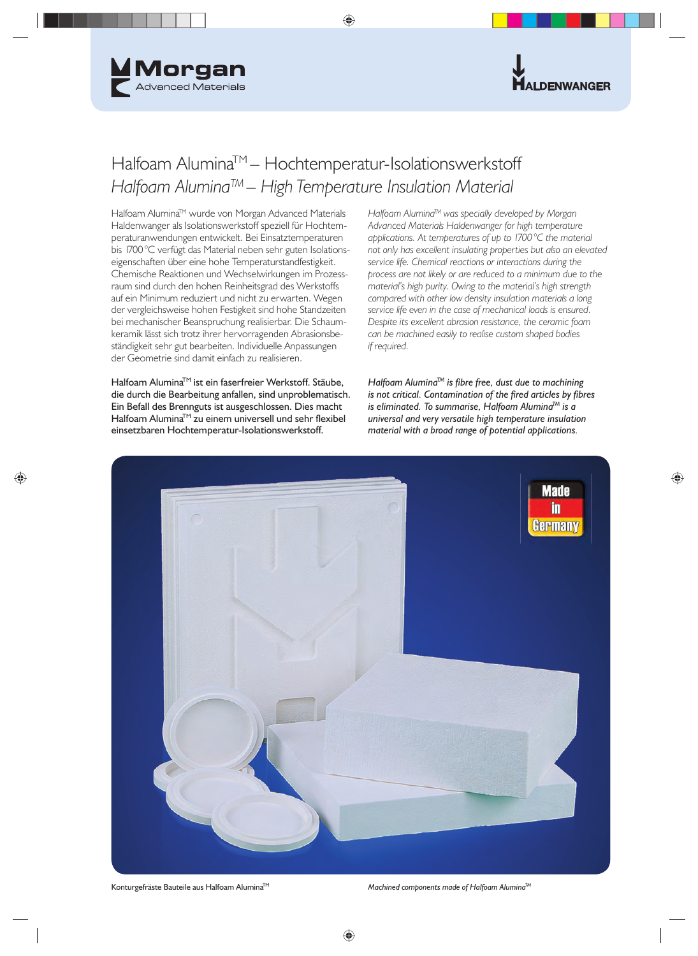



## Halfoam AluminaTM – Hochtemperatur-Isolationswerkstoff *Halfoam AluminaTM – High Temperature Insulation Material*

Halfoam Alumina™ wurde von Morgan Advanced Materials Haldenwanger als Isolationswerkstoff speziell für Hochtemperaturanwendungen entwickelt. Bei Einsatztemperaturen bis 1700 °C verfügt das Material neben sehr guten Isolationseigenschaften über eine hohe Temperaturstandfestigkeit. Chemische Reaktionen und Wechselwirkungen im Prozessraum sind durch den hohen Reinheitsgrad des Werkstoffs auf ein Minimum reduziert und nicht zu erwarten. Wegen der vergleichsweise hohen Festigkeit sind hohe Standzeiten bei mechanischer Beanspruchung realisierbar. Die Schaumkeramik lässt sich trotz ihrer hervorragenden Abrasionsbeständigkeit sehr gut bearbeiten. Individuelle Anpassungen der Geometrie sind damit einfach zu realisieren.

Halfoam Alumina™ ist ein faserfreier Werkstoff. Stäube, die durch die Bearbeitung anfallen, sind unproblematisch. Ein Befall des Brennguts ist ausgeschlossen. Dies macht Halfoam Alumina™ zu einem universell und sehr flexibel einsetzbaren Hochtemperatur-Isolationswerkstoff.

*Halfoam AluminaTM was specially developed by Morgan Advanced Materials Haldenwanger for high temperature applications. At temperatures of up to 1700 °C the material not only has excellent insulating properties but also an elevated service life. Chemical reactions or interactions during the process are not likely or are reduced to a minimum due to the material's high purity. Owing to the material's high strength compared with other low density insulation materials a long service life even in the case of mechanical loads is ensured. Despite its excellent abrasion resistance, the ceramic foam can be machined easily to realise custom shaped bodies if required.* 

*Halfoam Alumina™* is fibre free, dust due to machining *is not critical. Contamination of the fired articles by fibres is eliminated. To summarise, Halfoam AluminaTM is a universal and very versatile high temperature insulation material with a broad range of potential applications.*